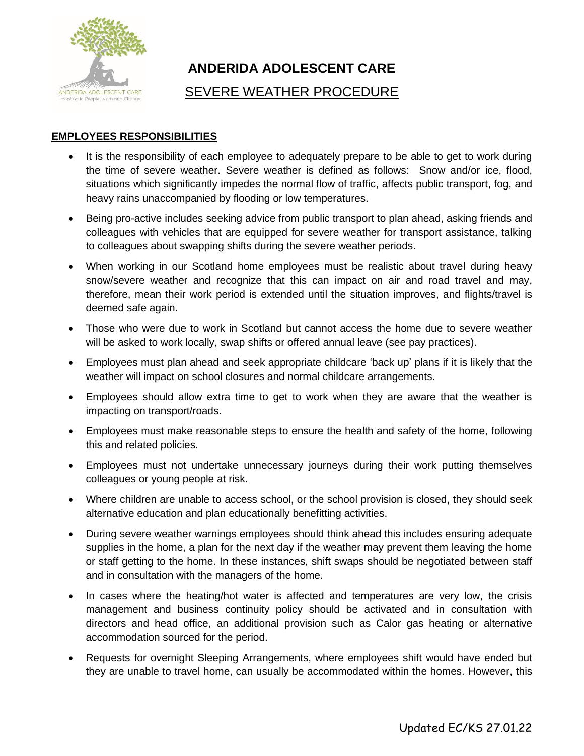

# **ANDERIDA ADOLESCENT CARE**

# SEVERE WEATHER PROCEDURE

## **EMPLOYEES RESPONSIBILITIES**

- It is the responsibility of each employee to adequately prepare to be able to get to work during the time of severe weather. Severe weather is defined as follows: Snow and/or ice, flood, situations which significantly impedes the normal flow of traffic, affects public transport, fog, and heavy rains unaccompanied by flooding or low temperatures.
- Being pro-active includes seeking advice from public transport to plan ahead, asking friends and colleagues with vehicles that are equipped for severe weather for transport assistance, talking to colleagues about swapping shifts during the severe weather periods.
- When working in our Scotland home employees must be realistic about travel during heavy snow/severe weather and recognize that this can impact on air and road travel and may, therefore, mean their work period is extended until the situation improves, and flights/travel is deemed safe again.
- Those who were due to work in Scotland but cannot access the home due to severe weather will be asked to work locally, swap shifts or offered annual leave (see pay practices).
- Employees must plan ahead and seek appropriate childcare 'back up' plans if it is likely that the weather will impact on school closures and normal childcare arrangements.
- Employees should allow extra time to get to work when they are aware that the weather is impacting on transport/roads.
- Employees must make reasonable steps to ensure the health and safety of the home, following this and related policies.
- Employees must not undertake unnecessary journeys during their work putting themselves colleagues or young people at risk.
- Where children are unable to access school, or the school provision is closed, they should seek alternative education and plan educationally benefitting activities.
- During severe weather warnings employees should think ahead this includes ensuring adequate supplies in the home, a plan for the next day if the weather may prevent them leaving the home or staff getting to the home. In these instances, shift swaps should be negotiated between staff and in consultation with the managers of the home.
- In cases where the heating/hot water is affected and temperatures are very low, the crisis management and business continuity policy should be activated and in consultation with directors and head office, an additional provision such as Calor gas heating or alternative accommodation sourced for the period.
- Requests for overnight Sleeping Arrangements, where employees shift would have ended but they are unable to travel home, can usually be accommodated within the homes. However, this